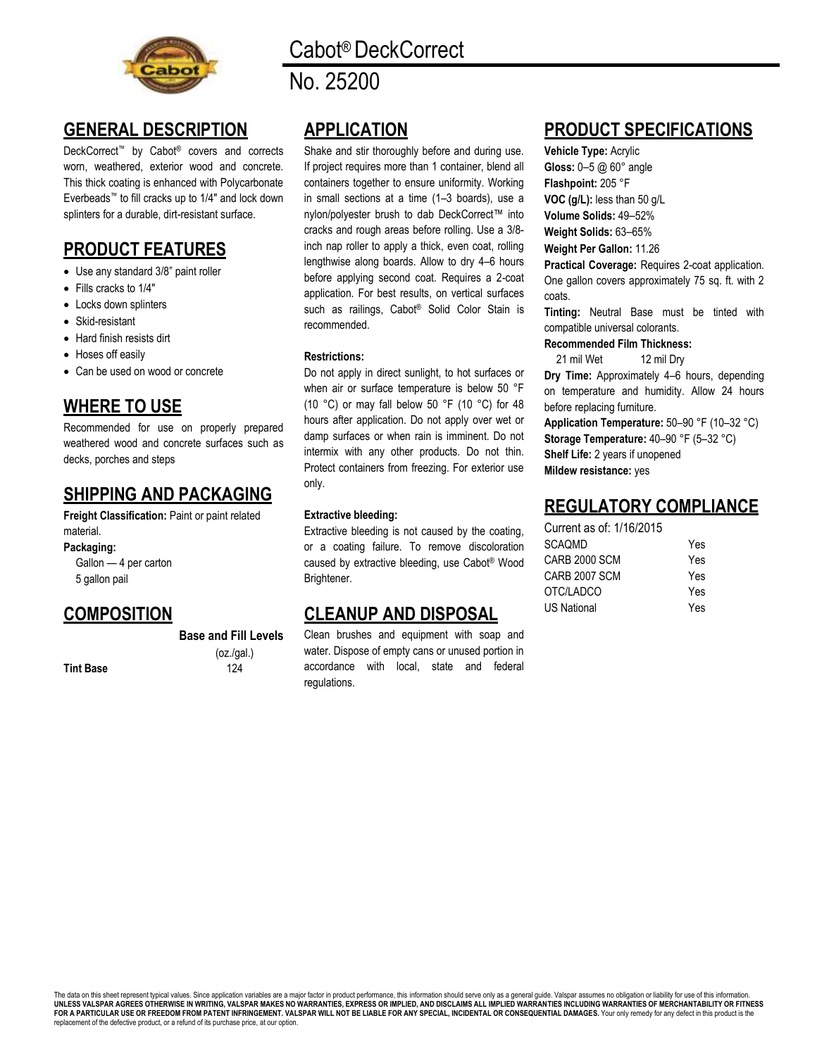

# Cabot® DeckCorrect

No. 25200

# **GENERAL DESCRIPTION**

DeckCorrect<sup>™</sup> by Cabot<sup>®</sup> covers and corrects worn, weathered, exterior wood and concrete. This thick coating is enhanced with Polycarbonate Everbeads™ to fill cracks up to 1/4" and lock down splinters for a durable, dirt-resistant surface.

# **PRODUCT FEATURES**

- Use any standard 3/8" paint roller
- Fills cracks to 1/4"
- Locks down splinters
- Skid-resistant
- Hard finish resists dirt
- Hoses off easily
- Can be used on wood or concrete

# **WHERE TO USE**

Recommended for use on properly prepared weathered wood and concrete surfaces such as decks, porches and steps

## **SHIPPING AND PACKAGING**

**Freight Classification:** Paint or paint related material.

**Packaging:**

Gallon — 4 per carton 5 gallon pail

## **COMPOSITION**

**Base and Fill Levels** (oz./gal.)

**Tint Base** 124

**APPLICATION** 

Shake and stir thoroughly before and during use. If project requires more than 1 container, blend all containers together to ensure uniformity. Working in small sections at a time (1–3 boards), use a nylon/polyester brush to dab DeckCorrect™ into cracks and rough areas before rolling. Use a 3/8 inch nap roller to apply a thick, even coat, rolling lengthwise along boards. Allow to dry 4–6 hours before applying second coat. Requires a 2-coat application. For best results, on vertical surfaces such as railings, Cabot® Solid Color Stain is recommended.

#### **Restrictions:**

Do not apply in direct sunlight, to hot surfaces or when air or surface temperature is below 50 °F (10 °C) or may fall below 50 °F (10 °C) for 48 hours after application. Do not apply over wet or damp surfaces or when rain is imminent. Do not intermix with any other products. Do not thin. Protect containers from freezing. For exterior use only.

#### **Extractive bleeding:**

Extractive bleeding is not caused by the coating, or a coating failure. To remove discoloration caused by extractive bleeding, use Cabot® Wood Brightener.

### **CLEANUP AND DISPOSAL**

Clean brushes and equipment with soap and water. Dispose of empty cans or unused portion in accordance with local, state and federal regulations.

# **PRODUCT SPECIFICATIONS**

**Vehicle Type:** Acrylic **Gloss:** 0–5 @ 60° angle **Flashpoint:** 205 °F **VOC (g/L):** less than 50 g/L

**Volume Solids:** 49–52%

**Weight Solids:** 63–65%

**Weight Per Gallon:** 11.26

**Practical Coverage:** Requires 2-coat application. One gallon covers approximately 75 sq. ft. with 2 coats.

**Tinting:** Neutral Base must be tinted with compatible universal colorants.

#### **Recommended Film Thickness:**

21 mil Wet 12 mil Drv

**Dry Time:** Approximately 4–6 hours, depending on temperature and humidity. Allow 24 hours before replacing furniture.

**Application Temperature:** 50–90 °F (10–32 °C) **Storage Temperature:** 40–90 °F (5–32 °C) **Shelf Life:** 2 years if unopened **Mildew resistance:** yes

### **REGULATORY COMPLIANCE**

| Current as of: 1/16/2015 |            |
|--------------------------|------------|
| SCAOMD                   | <b>Yes</b> |
| CARB 2000 SCM            | <b>Yes</b> |
| CARB 2007 SCM            | <b>Yes</b> |
| OTC/LADCO                | <b>Yes</b> |
| US National              | Yes        |

The data on this sheet represent typical values. Since application variables are a major factor in product performance, this information should serve only as a general guide. Valspar assumes no obligation or liability for FOR A PARTICULAR USE OR FREEDOM FROM PATENT INFRINGEMENT. VALSPAR WILL NOT BE LIABLE FOR ANY SPECIAL, INCIDENTAL OR CONSEQUENTIAL DAMAGES. Your only remedy for any defect in this product is the replacement of the defective product, or a refund of its purchase price, at our option.